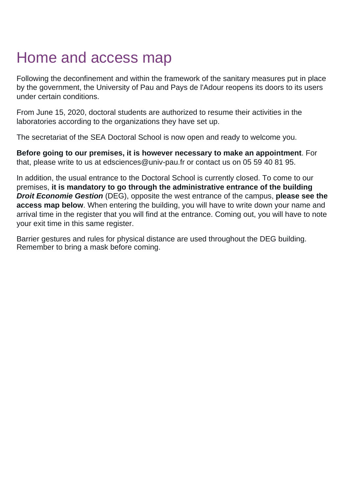## Home and access map

Following the deconfinement and within the framework of the sanitary measures put in place by the government, the University of Pau and Pays de l'Adour reopens its doors to its users under certain conditions.

From June 15, 2020, doctoral students are authorized to resume their activities in the laboratories according to the organizations they have set up.

The secretariat of the SEA Doctoral School is now open and ready to welcome you.

**Before going to our premises, it is however necessary to make an appointment**. For that, please write to us at edsciences@univ-pau.fr or contact us on 05 59 40 81 95.

In addition, the usual entrance to the Doctoral School is currently closed. To come to our premises, **it is mandatory to go through the administrative entrance of the building Droit Economie Gestion** (DEG), opposite the west entrance of the campus, **please see the access map below**. When entering the building, you will have to write down your name and arrival time in the register that you will find at the entrance. Coming out, you will have to note your exit time in this same register.

Barrier gestures and rules for physical distance are used throughout the DEG building. Remember to bring a mask before coming.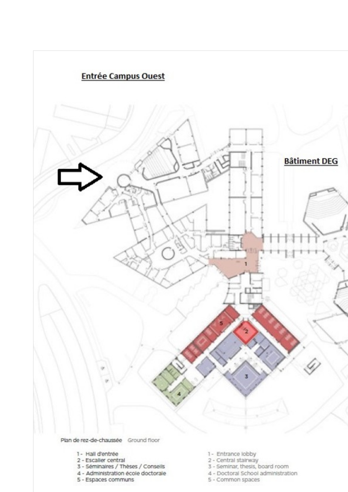

Plan de rez-de-chaussée Ground floor

- 1- Hall d'entrée
- 2 Escalier central
- 3 Séminaires / Thèses / Conseils
- 4 Administration école doctorale
- 5 Espaces communs
- 
- 1 Entrance lobby<br>2 Central stalrway
- 3 Seminar, thesis, board room
- 4 Doctoral School administration
- 5 Common spaces